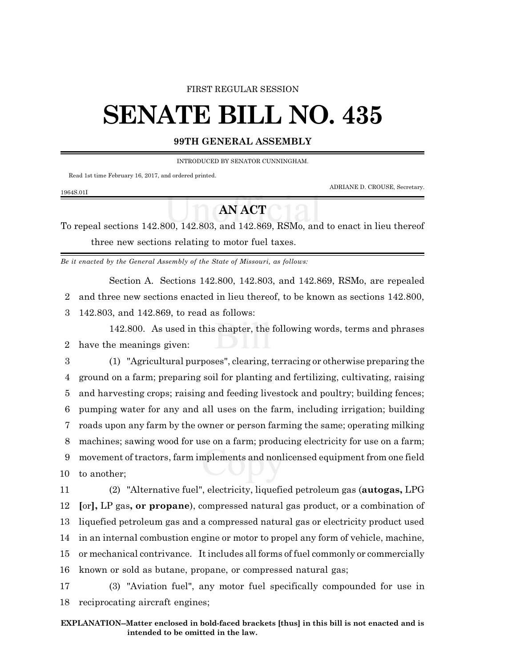#### FIRST REGULAR SESSION

# **SENATE BILL NO. 435**

### **99TH GENERAL ASSEMBLY**

INTRODUCED BY SENATOR CUNNINGHAM.

Read 1st time February 16, 2017, and ordered printed.

1964S.01I

ADRIANE D. CROUSE, Secretary.

## **AN ACT**

To repeal sections 142.800, 142.803, and 142.869, RSMo, and to enact in lieu thereof three new sections relating to motor fuel taxes.

*Be it enacted by the General Assembly of the State of Missouri, as follows:*

Section A. Sections 142.800, 142.803, and 142.869, RSMo, are repealed

2 and three new sections enacted in lieu thereof, to be known as sections 142.800,

3 142.803, and 142.869, to read as follows:

142.800. As used in this chapter, the following words, terms and phrases 2 have the meanings given:

3 (1) "Agricultural purposes", clearing, terracing or otherwise preparing the ground on a farm; preparing soil for planting and fertilizing, cultivating, raising and harvesting crops; raising and feeding livestock and poultry; building fences; pumping water for any and all uses on the farm, including irrigation; building roads upon any farm by the owner or person farming the same; operating milking machines; sawing wood for use on a farm; producing electricity for use on a farm; movement of tractors, farm implements and nonlicensed equipment from one field to another;

 (2) "Alternative fuel", electricity, liquefied petroleum gas (**autogas,** LPG **[**or**],** LP gas**, or propane**), compressed natural gas product, or a combination of liquefied petroleum gas and a compressed natural gas or electricity product used in an internal combustion engine or motor to propel any form of vehicle, machine, or mechanical contrivance. It includes all forms of fuel commonly or commercially known or sold as butane, propane, or compressed natural gas;

17 (3) "Aviation fuel", any motor fuel specifically compounded for use in 18 reciprocating aircraft engines;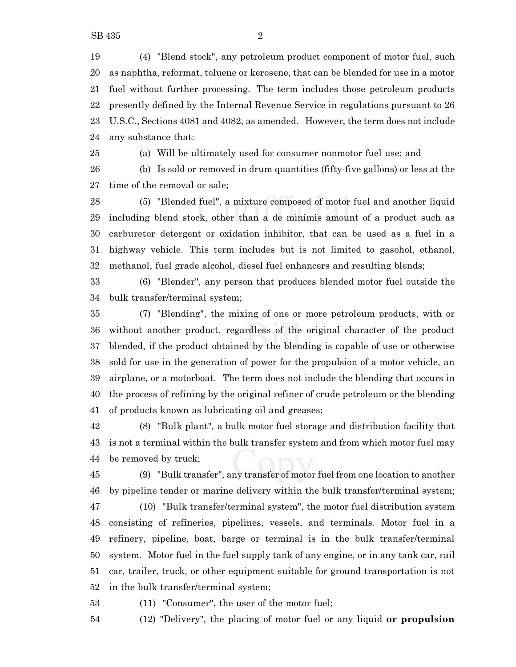(4) "Blend stock", any petroleum product component of motor fuel, such as naphtha, reformat, toluene or kerosene, that can be blended for use in a motor fuel without further processing. The term includes those petroleum products presently defined by the Internal Revenue Service in regulations pursuant to 26 U.S.C., Sections 4081 and 4082, as amended. However, the term does not include any substance that:

 (a) Will be ultimately used for consumer nonmotor fuel use; and (b) Is sold or removed in drum quantities (fifty-five gallons) or less at the time of the removal or sale;

 (5) "Blended fuel", a mixture composed of motor fuel and another liquid including blend stock, other than a de minimis amount of a product such as carburetor detergent or oxidation inhibitor, that can be used as a fuel in a highway vehicle. This term includes but is not limited to gasohol, ethanol, methanol, fuel grade alcohol, diesel fuel enhancers and resulting blends;

 (6) "Blender", any person that produces blended motor fuel outside the bulk transfer/terminal system;

 (7) "Blending", the mixing of one or more petroleum products, with or without another product, regardless of the original character of the product blended, if the product obtained by the blending is capable of use or otherwise sold for use in the generation of power for the propulsion of a motor vehicle, an airplane, or a motorboat. The term does not include the blending that occurs in the process of refining by the original refiner of crude petroleum or the blending of products known as lubricating oil and greases;

 (8) "Bulk plant", a bulk motor fuel storage and distribution facility that is not a terminal within the bulk transfer system and from which motor fuel may be removed by truck;

 (9) "Bulk transfer", any transfer of motor fuel from one location to another by pipeline tender or marine delivery within the bulk transfer/terminal system;

 (10) "Bulk transfer/terminal system", the motor fuel distribution system consisting of refineries, pipelines, vessels, and terminals. Motor fuel in a refinery, pipeline, boat, barge or terminal is in the bulk transfer/terminal system. Motor fuel in the fuel supply tank of any engine, or in any tank car, rail car, trailer, truck, or other equipment suitable for ground transportation is not in the bulk transfer/terminal system;

(11) "Consumer", the user of the motor fuel;

(12) "Delivery", the placing of motor fuel or any liquid **or propulsion**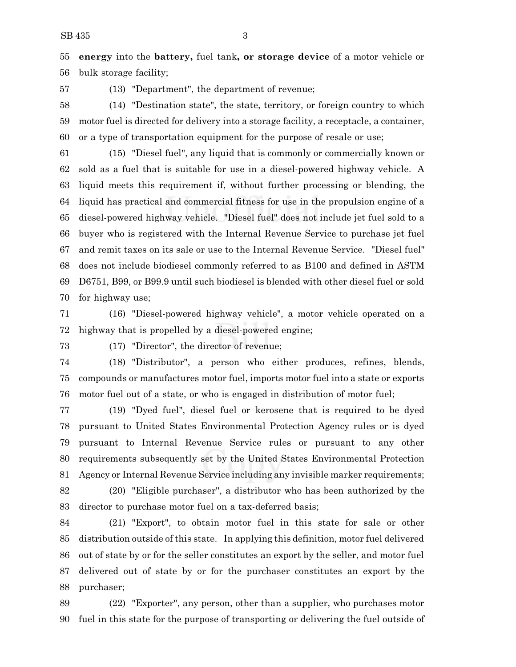**energy** into the **battery,** fuel tank**, or storage device** of a motor vehicle or bulk storage facility;

(13) "Department", the department of revenue;

 (14) "Destination state", the state, territory, or foreign country to which motor fuel is directed for delivery into a storage facility, a receptacle, a container, or a type of transportation equipment for the purpose of resale or use;

 (15) "Diesel fuel", any liquid that is commonly or commercially known or sold as a fuel that is suitable for use in a diesel-powered highway vehicle. A liquid meets this requirement if, without further processing or blending, the liquid has practical and commercial fitness for use in the propulsion engine of a diesel-powered highway vehicle. "Diesel fuel" does not include jet fuel sold to a buyer who is registered with the Internal Revenue Service to purchase jet fuel and remit taxes on its sale or use to the Internal Revenue Service. "Diesel fuel" does not include biodiesel commonly referred to as B100 and defined in ASTM D6751, B99, or B99.9 until such biodiesel is blended with other diesel fuel or sold for highway use;

 (16) "Diesel-powered highway vehicle", a motor vehicle operated on a highway that is propelled by a diesel-powered engine;

(17) "Director", the director of revenue;

 (18) "Distributor", a person who either produces, refines, blends, compounds or manufactures motor fuel, imports motor fuel into a state or exports motor fuel out of a state, or who is engaged in distribution of motor fuel;

 (19) "Dyed fuel", diesel fuel or kerosene that is required to be dyed pursuant to United States Environmental Protection Agency rules or is dyed pursuant to Internal Revenue Service rules or pursuant to any other requirements subsequently set by the United States Environmental Protection Agency or Internal Revenue Service including any invisible marker requirements;

 (20) "Eligible purchaser", a distributor who has been authorized by the director to purchase motor fuel on a tax-deferred basis;

 (21) "Export", to obtain motor fuel in this state for sale or other distribution outside of this state. In applying this definition, motor fuel delivered out of state by or for the seller constitutes an export by the seller, and motor fuel delivered out of state by or for the purchaser constitutes an export by the purchaser;

 (22) "Exporter", any person, other than a supplier, who purchases motor fuel in this state for the purpose of transporting or delivering the fuel outside of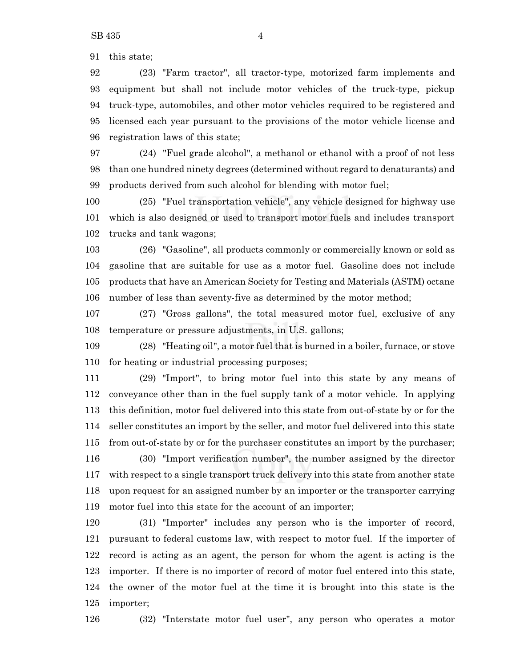this state;

 (23) "Farm tractor", all tractor-type, motorized farm implements and equipment but shall not include motor vehicles of the truck-type, pickup truck-type, automobiles, and other motor vehicles required to be registered and licensed each year pursuant to the provisions of the motor vehicle license and registration laws of this state;

 (24) "Fuel grade alcohol", a methanol or ethanol with a proof of not less than one hundred ninety degrees (determined without regard to denaturants) and products derived from such alcohol for blending with motor fuel;

 (25) "Fuel transportation vehicle", any vehicle designed for highway use which is also designed or used to transport motor fuels and includes transport trucks and tank wagons;

 (26) "Gasoline", all products commonly or commercially known or sold as gasoline that are suitable for use as a motor fuel. Gasoline does not include products that have an American Society for Testing and Materials (ASTM) octane number of less than seventy-five as determined by the motor method;

 (27) "Gross gallons", the total measured motor fuel, exclusive of any temperature or pressure adjustments, in U.S. gallons;

 (28) "Heating oil", a motor fuel that is burned in a boiler, furnace, or stove for heating or industrial processing purposes;

 (29) "Import", to bring motor fuel into this state by any means of conveyance other than in the fuel supply tank of a motor vehicle. In applying this definition, motor fuel delivered into this state from out-of-state by or for the seller constitutes an import by the seller, and motor fuel delivered into this state from out-of-state by or for the purchaser constitutes an import by the purchaser; (30) "Import verification number", the number assigned by the director with respect to a single transport truck delivery into this state from another state upon request for an assigned number by an importer or the transporter carrying motor fuel into this state for the account of an importer;

 (31) "Importer" includes any person who is the importer of record, pursuant to federal customs law, with respect to motor fuel. If the importer of record is acting as an agent, the person for whom the agent is acting is the importer. If there is no importer of record of motor fuel entered into this state, the owner of the motor fuel at the time it is brought into this state is the importer;

(32) "Interstate motor fuel user", any person who operates a motor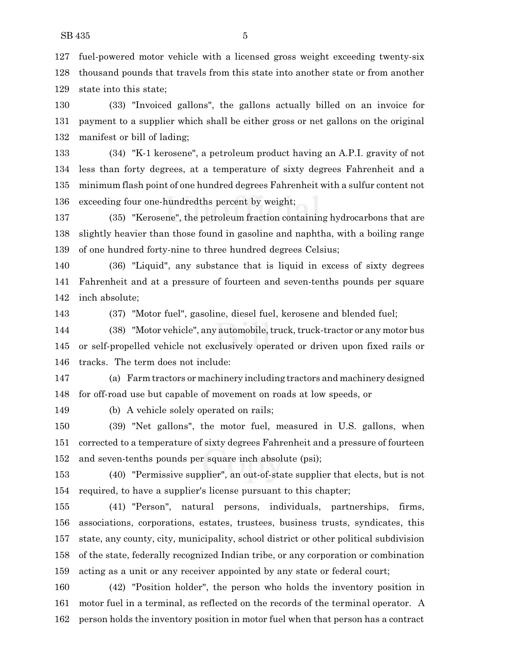fuel-powered motor vehicle with a licensed gross weight exceeding twenty-six thousand pounds that travels from this state into another state or from another state into this state;

 (33) "Invoiced gallons", the gallons actually billed on an invoice for payment to a supplier which shall be either gross or net gallons on the original manifest or bill of lading;

 (34) "K-1 kerosene", a petroleum product having an A.P.I. gravity of not less than forty degrees, at a temperature of sixty degrees Fahrenheit and a minimum flash point of one hundred degrees Fahrenheit with a sulfur content not exceeding four one-hundredths percent by weight;

 (35) "Kerosene", the petroleum fraction containing hydrocarbons that are slightly heavier than those found in gasoline and naphtha, with a boiling range of one hundred forty-nine to three hundred degrees Celsius;

 (36) "Liquid", any substance that is liquid in excess of sixty degrees Fahrenheit and at a pressure of fourteen and seven-tenths pounds per square inch absolute;

(37) "Motor fuel", gasoline, diesel fuel, kerosene and blended fuel;

 (38) "Motor vehicle", any automobile,truck,truck-tractor or any motor bus or self-propelled vehicle not exclusively operated or driven upon fixed rails or tracks. The term does not include:

 (a) Farm tractors or machinery including tractors and machinery designed for off-road use but capable of movement on roads at low speeds, or

(b) A vehicle solely operated on rails;

 (39) "Net gallons", the motor fuel, measured in U.S. gallons, when corrected to a temperature of sixty degrees Fahrenheit and a pressure of fourteen and seven-tenths pounds per square inch absolute (psi);

 (40) "Permissive supplier", an out-of-state supplier that elects, but is not required, to have a supplier's license pursuant to this chapter;

 (41) "Person", natural persons, individuals, partnerships, firms, associations, corporations, estates, trustees, business trusts, syndicates, this state, any county, city, municipality, school district or other political subdivision of the state, federally recognized Indian tribe, or any corporation or combination acting as a unit or any receiver appointed by any state or federal court;

 (42) "Position holder", the person who holds the inventory position in motor fuel in a terminal, as reflected on the records of the terminal operator. A person holds the inventory position in motor fuel when that person has a contract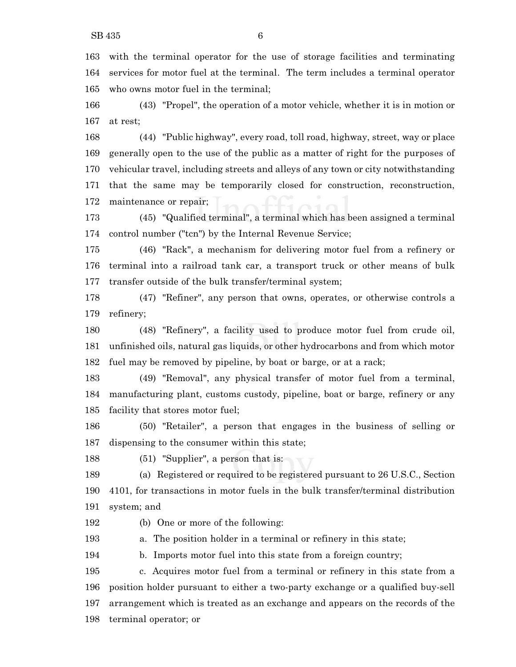with the terminal operator for the use of storage facilities and terminating services for motor fuel at the terminal. The term includes a terminal operator who owns motor fuel in the terminal;

 (43) "Propel", the operation of a motor vehicle, whether it is in motion or at rest;

 (44) "Public highway", every road, toll road, highway, street, way or place generally open to the use of the public as a matter of right for the purposes of vehicular travel, including streets and alleys of any town or city notwithstanding that the same may be temporarily closed for construction, reconstruction, maintenance or repair;

 (45) "Qualified terminal", a terminal which has been assigned a terminal control number ("tcn") by the Internal Revenue Service;

 (46) "Rack", a mechanism for delivering motor fuel from a refinery or terminal into a railroad tank car, a transport truck or other means of bulk transfer outside of the bulk transfer/terminal system;

 (47) "Refiner", any person that owns, operates, or otherwise controls a refinery;

 (48) "Refinery", a facility used to produce motor fuel from crude oil, unfinished oils, natural gas liquids, or other hydrocarbons and from which motor fuel may be removed by pipeline, by boat or barge, or at a rack;

 (49) "Removal", any physical transfer of motor fuel from a terminal, manufacturing plant, customs custody, pipeline, boat or barge, refinery or any facility that stores motor fuel;

 (50) "Retailer", a person that engages in the business of selling or dispensing to the consumer within this state;

(51) "Supplier", a person that is:

 (a) Registered or required to be registered pursuant to 26 U.S.C., Section 4101, for transactions in motor fuels in the bulk transfer/terminal distribution system; and

(b) One or more of the following:

a. The position holder in a terminal or refinery in this state;

b. Imports motor fuel into this state from a foreign country;

 c. Acquires motor fuel from a terminal or refinery in this state from a position holder pursuant to either a two-party exchange or a qualified buy-sell arrangement which is treated as an exchange and appears on the records of the terminal operator; or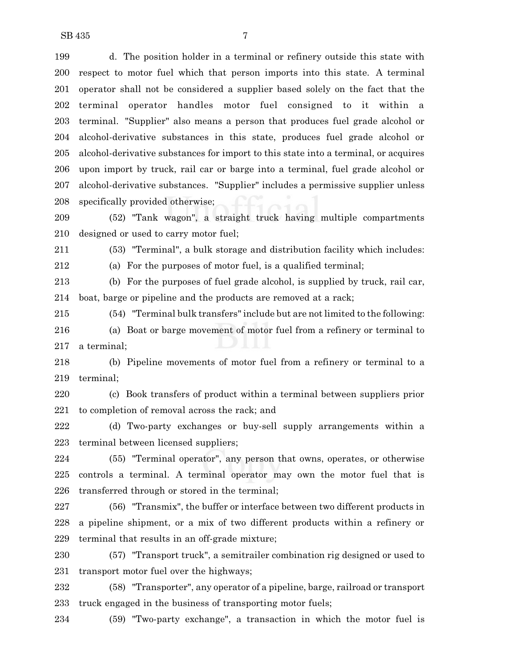d. The position holder in a terminal or refinery outside this state with respect to motor fuel which that person imports into this state. A terminal operator shall not be considered a supplier based solely on the fact that the terminal operator handles motor fuel consigned to it within a terminal. "Supplier" also means a person that produces fuel grade alcohol or alcohol-derivative substances in this state, produces fuel grade alcohol or alcohol-derivative substances for import to this state into a terminal, or acquires upon import by truck, rail car or barge into a terminal, fuel grade alcohol or alcohol-derivative substances. "Supplier" includes a permissive supplier unless specifically provided otherwise;

 (52) "Tank wagon", a straight truck having multiple compartments designed or used to carry motor fuel;

(53) "Terminal", a bulk storage and distribution facility which includes:

(a) For the purposes of motor fuel, is a qualified terminal;

 (b) For the purposes of fuel grade alcohol, is supplied by truck, rail car, boat, barge or pipeline and the products are removed at a rack;

 (54) "Terminal bulk transfers" include but are not limited to the following: (a) Boat or barge movement of motor fuel from a refinery or terminal to a terminal;

 (b) Pipeline movements of motor fuel from a refinery or terminal to a terminal;

 (c) Book transfers of product within a terminal between suppliers prior to completion of removal across the rack; and

 (d) Two-party exchanges or buy-sell supply arrangements within a terminal between licensed suppliers;

 (55) "Terminal operator", any person that owns, operates, or otherwise controls a terminal. A terminal operator may own the motor fuel that is transferred through or stored in the terminal;

 (56) "Transmix", the buffer or interface between two different products in a pipeline shipment, or a mix of two different products within a refinery or terminal that results in an off-grade mixture;

 (57) "Transport truck", a semitrailer combination rig designed or used to transport motor fuel over the highways;

 (58) "Transporter", any operator of a pipeline, barge, railroad or transport truck engaged in the business of transporting motor fuels;

(59) "Two-party exchange", a transaction in which the motor fuel is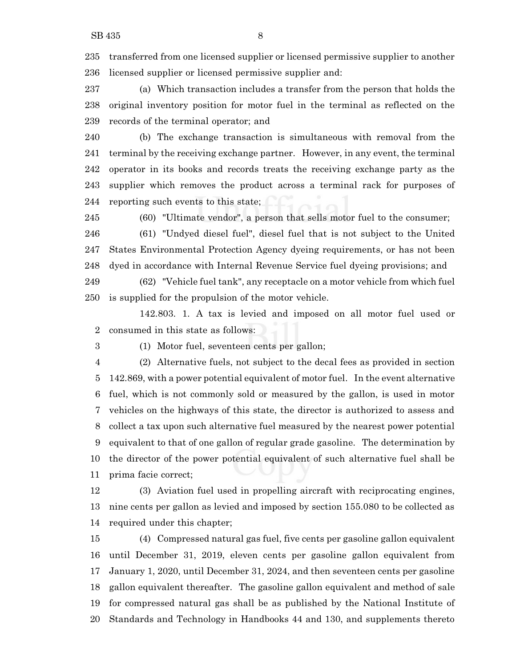transferred from one licensed supplier or licensed permissive supplier to another licensed supplier or licensed permissive supplier and:

 (a) Which transaction includes a transfer from the person that holds the original inventory position for motor fuel in the terminal as reflected on the records of the terminal operator; and

 (b) The exchange transaction is simultaneous with removal from the terminal by the receiving exchange partner. However, in any event, the terminal operator in its books and records treats the receiving exchange party as the supplier which removes the product across a terminal rack for purposes of reporting such events to this state;

(60) "Ultimate vendor", a person that sells motor fuel to the consumer;

 (61) "Undyed diesel fuel", diesel fuel that is not subject to the United States Environmental Protection Agency dyeing requirements, or has not been dyed in accordance with Internal Revenue Service fuel dyeing provisions; and

 (62) "Vehicle fuel tank", any receptacle on a motor vehicle from which fuel is supplied for the propulsion of the motor vehicle.

142.803. 1. A tax is levied and imposed on all motor fuel used or consumed in this state as follows:

(1) Motor fuel, seventeen cents per gallon;

 (2) Alternative fuels, not subject to the decal fees as provided in section 142.869, with a power potential equivalent of motor fuel. In the event alternative fuel, which is not commonly sold or measured by the gallon, is used in motor vehicles on the highways of this state, the director is authorized to assess and collect a tax upon such alternative fuel measured by the nearest power potential equivalent to that of one gallon of regular grade gasoline. The determination by the director of the power potential equivalent of such alternative fuel shall be prima facie correct;

 (3) Aviation fuel used in propelling aircraft with reciprocating engines, nine cents per gallon as levied and imposed by section 155.080 to be collected as required under this chapter;

 (4) Compressed natural gas fuel, five cents per gasoline gallon equivalent until December 31, 2019, eleven cents per gasoline gallon equivalent from January 1, 2020, until December 31, 2024, and then seventeen cents per gasoline gallon equivalent thereafter. The gasoline gallon equivalent and method of sale for compressed natural gas shall be as published by the National Institute of Standards and Technology in Handbooks 44 and 130, and supplements thereto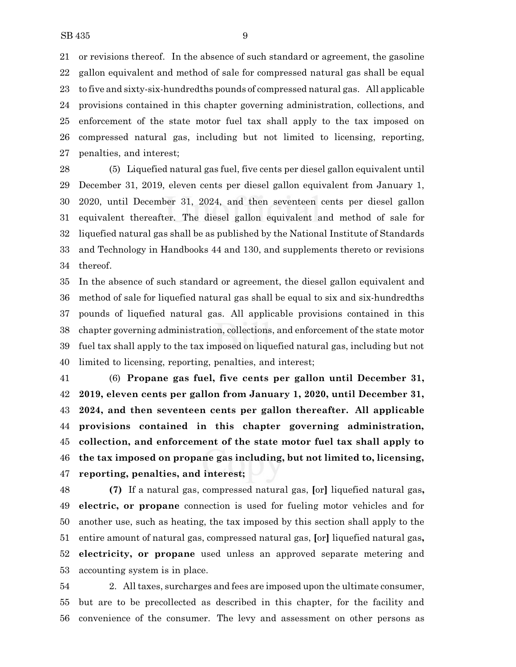or revisions thereof. In the absence of such standard or agreement, the gasoline gallon equivalent and method of sale for compressed natural gas shall be equal to five and sixty-six-hundredths pounds of compressed natural gas. All applicable provisions contained in this chapter governing administration, collections, and enforcement of the state motor fuel tax shall apply to the tax imposed on compressed natural gas, including but not limited to licensing, reporting, penalties, and interest;

 (5) Liquefied natural gas fuel, five cents per diesel gallon equivalent until December 31, 2019, eleven cents per diesel gallon equivalent from January 1, 2020, until December 31, 2024, and then seventeen cents per diesel gallon equivalent thereafter. The diesel gallon equivalent and method of sale for liquefied natural gas shall be as published by the National Institute of Standards and Technology in Handbooks 44 and 130, and supplements thereto or revisions thereof.

 In the absence of such standard or agreement, the diesel gallon equivalent and method of sale for liquefied natural gas shall be equal to six and six-hundredths pounds of liquefied natural gas. All applicable provisions contained in this chapter governing administration, collections, and enforcement of the state motor fuel tax shall apply to the tax imposed on liquefied natural gas, including but not limited to licensing, reporting, penalties, and interest;

 (6) **Propane gas fuel, five cents per gallon until December 31, 2019, eleven cents per gallon from January 1, 2020, until December 31, 2024, and then seventeen cents per gallon thereafter. All applicable provisions contained in this chapter governing administration, collection, and enforcement of the state motor fuel tax shall apply to the tax imposed on propane gas including, but not limited to, licensing, reporting, penalties, and interest;**

 **(7)** If a natural gas, compressed natural gas, **[**or**]** liquefied natural gas**, electric, or propane** connection is used for fueling motor vehicles and for another use, such as heating, the tax imposed by this section shall apply to the entire amount of natural gas, compressed natural gas, **[**or**]** liquefied natural gas**, electricity, or propane** used unless an approved separate metering and accounting system is in place.

 2. All taxes, surcharges and fees are imposed upon the ultimate consumer, but are to be precollected as described in this chapter, for the facility and convenience of the consumer. The levy and assessment on other persons as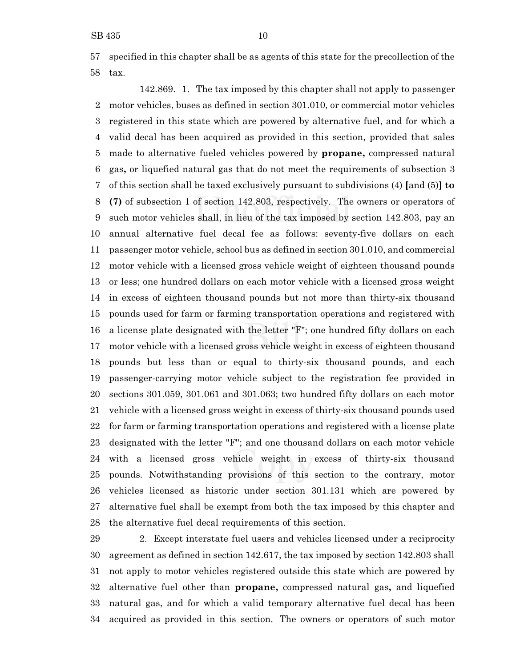specified in this chapter shall be as agents of this state for the precollection of the tax.

142.869. 1. The tax imposed by this chapter shall not apply to passenger motor vehicles, buses as defined in section 301.010, or commercial motor vehicles registered in this state which are powered by alternative fuel, and for which a valid decal has been acquired as provided in this section, provided that sales made to alternative fueled vehicles powered by **propane,** compressed natural gas**,** or liquefied natural gas that do not meet the requirements of subsection 3 of this section shall be taxed exclusively pursuant to subdivisions (4) **[**and (5)**] to (7)** of subsection 1 of section 142.803, respectively. The owners or operators of such motor vehicles shall, in lieu of the tax imposed by section 142.803, pay an annual alternative fuel decal fee as follows: seventy-five dollars on each passenger motor vehicle, school bus as defined in section 301.010, and commercial motor vehicle with a licensed gross vehicle weight of eighteen thousand pounds or less; one hundred dollars on each motor vehicle with a licensed gross weight in excess of eighteen thousand pounds but not more than thirty-six thousand pounds used for farm or farming transportation operations and registered with a license plate designated with the letter "F"; one hundred fifty dollars on each motor vehicle with a licensed gross vehicle weight in excess of eighteen thousand pounds but less than or equal to thirty-six thousand pounds, and each passenger-carrying motor vehicle subject to the registration fee provided in sections 301.059, 301.061 and 301.063; two hundred fifty dollars on each motor vehicle with a licensed gross weight in excess of thirty-six thousand pounds used for farm or farming transportation operations and registered with a license plate designated with the letter "F"; and one thousand dollars on each motor vehicle with a licensed gross vehicle weight in excess of thirty-six thousand pounds. Notwithstanding provisions of this section to the contrary, motor vehicles licensed as historic under section 301.131 which are powered by alternative fuel shall be exempt from both the tax imposed by this chapter and the alternative fuel decal requirements of this section.

 2. Except interstate fuel users and vehicles licensed under a reciprocity agreement as defined in section 142.617, the tax imposed by section 142.803 shall not apply to motor vehicles registered outside this state which are powered by alternative fuel other than **propane,** compressed natural gas**,** and liquefied natural gas, and for which a valid temporary alternative fuel decal has been acquired as provided in this section. The owners or operators of such motor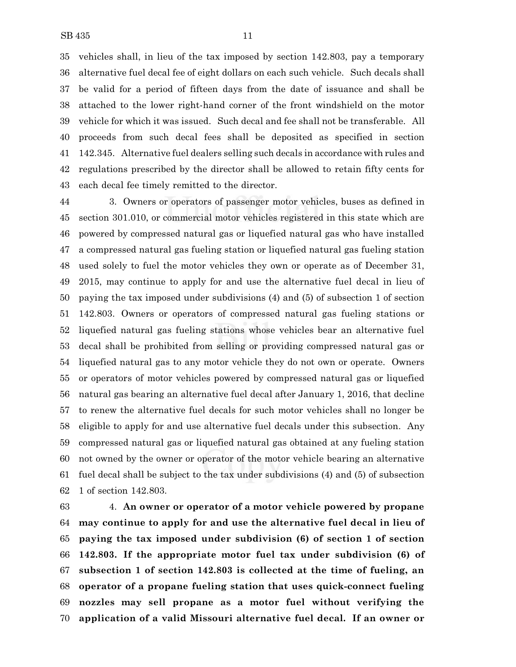vehicles shall, in lieu of the tax imposed by section 142.803, pay a temporary alternative fuel decal fee of eight dollars on each such vehicle. Such decals shall be valid for a period of fifteen days from the date of issuance and shall be attached to the lower right-hand corner of the front windshield on the motor vehicle for which it was issued. Such decal and fee shall not be transferable. All proceeds from such decal fees shall be deposited as specified in section 142.345. Alternative fuel dealers selling such decals in accordance with rules and regulations prescribed by the director shall be allowed to retain fifty cents for each decal fee timely remitted to the director.

 3. Owners or operators of passenger motor vehicles, buses as defined in section 301.010, or commercial motor vehicles registered in this state which are powered by compressed natural gas or liquefied natural gas who have installed a compressed natural gas fueling station or liquefied natural gas fueling station used solely to fuel the motor vehicles they own or operate as of December 31, 2015, may continue to apply for and use the alternative fuel decal in lieu of paying the tax imposed under subdivisions (4) and (5) of subsection 1 of section 142.803. Owners or operators of compressed natural gas fueling stations or liquefied natural gas fueling stations whose vehicles bear an alternative fuel decal shall be prohibited from selling or providing compressed natural gas or liquefied natural gas to any motor vehicle they do not own or operate. Owners or operators of motor vehicles powered by compressed natural gas or liquefied natural gas bearing an alternative fuel decal after January 1, 2016, that decline to renew the alternative fuel decals for such motor vehicles shall no longer be eligible to apply for and use alternative fuel decals under this subsection. Any compressed natural gas or liquefied natural gas obtained at any fueling station not owned by the owner or operator of the motor vehicle bearing an alternative fuel decal shall be subject to the tax under subdivisions (4) and (5) of subsection 1 of section 142.803.

 4. **An owner or operator of a motor vehicle powered by propane may continue to apply for and use the alternative fuel decal in lieu of paying the tax imposed under subdivision (6) of section 1 of section 142.803. If the appropriate motor fuel tax under subdivision (6) of subsection 1 of section 142.803 is collected at the time of fueling, an operator of a propane fueling station that uses quick-connect fueling nozzles may sell propane as a motor fuel without verifying the application of a valid Missouri alternative fuel decal. If an owner or**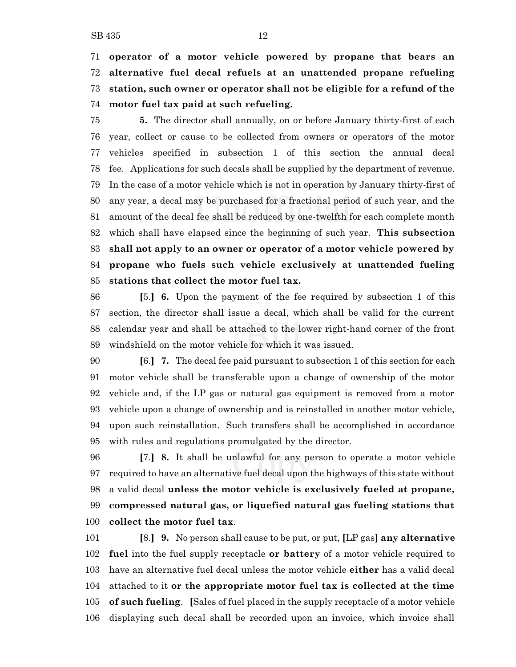**operator of a motor vehicle powered by propane that bears an alternative fuel decal refuels at an unattended propane refueling station, such owner or operator shall not be eligible for a refund of the motor fuel tax paid at such refueling.**

 **5.** The director shall annually, on or before January thirty-first of each year, collect or cause to be collected from owners or operators of the motor vehicles specified in subsection 1 of this section the annual decal fee. Applications for such decals shall be supplied by the department of revenue. In the case of a motor vehicle which is not in operation by January thirty-first of any year, a decal may be purchased for a fractional period of such year, and the amount of the decal fee shall be reduced by one-twelfth for each complete month which shall have elapsed since the beginning of such year. **This subsection shall not apply to an owner or operator of a motor vehicle powered by propane who fuels such vehicle exclusively at unattended fueling stations that collect the motor fuel tax.**

 **[**5.**] 6.** Upon the payment of the fee required by subsection 1 of this section, the director shall issue a decal, which shall be valid for the current calendar year and shall be attached to the lower right-hand corner of the front windshield on the motor vehicle for which it was issued.

 **[**6.**] 7.** The decal fee paid pursuant to subsection 1 of this section for each motor vehicle shall be transferable upon a change of ownership of the motor vehicle and, if the LP gas or natural gas equipment is removed from a motor vehicle upon a change of ownership and is reinstalled in another motor vehicle, upon such reinstallation. Such transfers shall be accomplished in accordance with rules and regulations promulgated by the director.

 **[**7.**] 8.** It shall be unlawful for any person to operate a motor vehicle required to have an alternative fuel decal upon the highways of this state without a valid decal **unless the motor vehicle is exclusively fueled at propane, compressed natural gas, or liquefied natural gas fueling stations that collect the motor fuel tax**.

 **[**8.**] 9.** No person shall cause to be put, or put, **[**LP gas**] any alternative fuel** into the fuel supply receptacle **or battery** of a motor vehicle required to have an alternative fuel decal unless the motor vehicle **either** has a valid decal attached to it **or the appropriate motor fuel tax is collected at the time of such fueling**. **[**Sales of fuel placed in the supply receptacle of a motor vehicle displaying such decal shall be recorded upon an invoice, which invoice shall